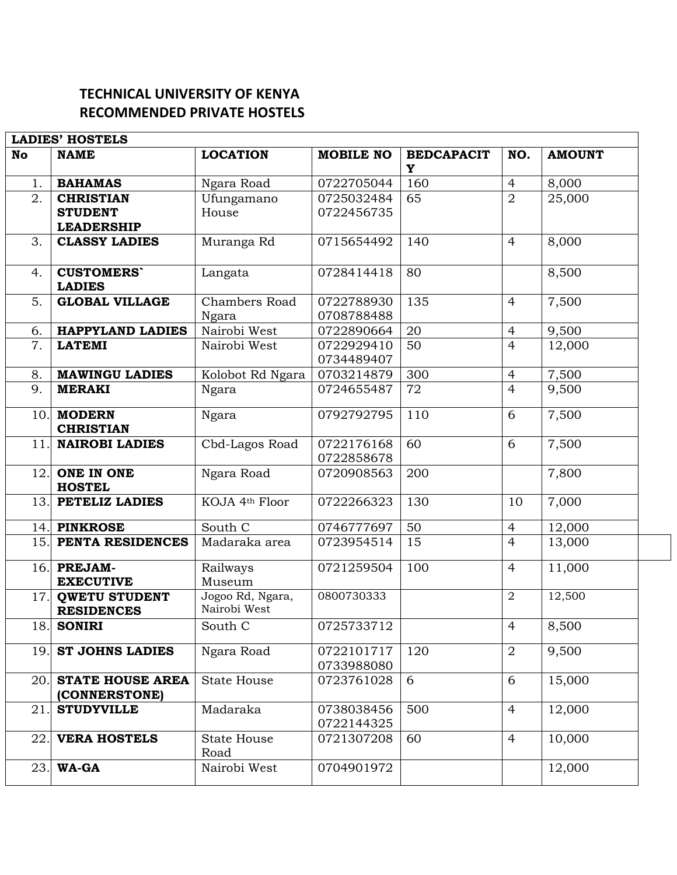## **TECHNICAL UNIVERSITY OF KENYA RECOMMENDED PRIVATE HOSTELS**

| <b>LADIES' HOSTELS</b> |                                           |                                  |                          |                        |                |               |  |  |
|------------------------|-------------------------------------------|----------------------------------|--------------------------|------------------------|----------------|---------------|--|--|
| <b>No</b>              | <b>NAME</b>                               | <b>LOCATION</b>                  | <b>MOBILE NO</b>         | <b>BEDCAPACIT</b><br>Y | NO.            | <b>AMOUNT</b> |  |  |
| 1.                     | <b>BAHAMAS</b>                            | Ngara Road                       | 0722705044               | 160                    | $\overline{4}$ | 8,000         |  |  |
| 2.                     | <b>CHRISTIAN</b>                          | Ufungamano                       | 0725032484               | 65                     | $\overline{2}$ | 25,000        |  |  |
|                        | <b>STUDENT</b>                            | House                            | 0722456735               |                        |                |               |  |  |
|                        | <b>LEADERSHIP</b>                         |                                  |                          |                        |                |               |  |  |
| 3.                     | <b>CLASSY LADIES</b>                      | Muranga Rd                       | 0715654492               | 140                    | $\overline{4}$ | 8,000         |  |  |
| 4.                     | <b>CUSTOMERS</b><br><b>LADIES</b>         | Langata                          | 0728414418               | 80                     |                | 8,500         |  |  |
| 5.                     | <b>GLOBAL VILLAGE</b>                     | Chambers Road                    | 0722788930               | 135                    | $\overline{4}$ | 7,500         |  |  |
|                        |                                           | Ngara                            | 0708788488               |                        |                |               |  |  |
| 6.                     | <b>HAPPYLAND LADIES</b>                   | Nairobi West                     | 0722890664               | 20                     | $\overline{4}$ | 9,500         |  |  |
| 7.                     | <b>LATEMI</b>                             | Nairobi West                     | 0722929410               | 50                     | $\overline{4}$ | 12,000        |  |  |
|                        |                                           |                                  | 0734489407               |                        |                |               |  |  |
| 8.                     | <b>MAWINGU LADIES</b>                     | Kolobot Rd Ngara                 | 0703214879               | 300                    | $\overline{4}$ | 7,500         |  |  |
| 9.                     | <b>MERAKI</b>                             | Ngara                            | 0724655487               | 72                     | $\overline{4}$ | 9,500         |  |  |
| 10.                    | <b>MODERN</b><br><b>CHRISTIAN</b>         | Ngara                            | 0792792795               | 110                    | 6              | 7,500         |  |  |
| 11.                    | <b>NAIROBI LADIES</b>                     | Cbd-Lagos Road                   | 0722176168<br>0722858678 | 60                     | 6              | 7,500         |  |  |
| 12.                    | <b>ONE IN ONE</b><br><b>HOSTEL</b>        | Ngara Road                       | 0720908563               | 200                    |                | 7,800         |  |  |
| 13.                    | PETELIZ LADIES                            | KOJA 4th Floor                   | 0722266323               | 130                    | 10             | 7,000         |  |  |
| 14.                    | <b>PINKROSE</b>                           | South C                          | 0746777697               | 50                     | $\overline{4}$ | 12,000        |  |  |
| 15.                    | PENTA RESIDENCES                          | Madaraka area                    | 0723954514               | 15                     | $\overline{4}$ | 13,000        |  |  |
| 16.                    | <b>PREJAM-</b><br><b>EXECUTIVE</b>        | Railways<br>Museum               | 0721259504               | 100                    | $\overline{4}$ | 11,000        |  |  |
| 17.                    | <b>QWETU STUDENT</b><br><b>RESIDENCES</b> | Jogoo Rd, Ngara,<br>Nairobi West | 0800730333               |                        | $\overline{2}$ | 12,500        |  |  |
| 18.                    | <b>SONIRI</b>                             | South C                          | 0725733712               |                        | $\overline{4}$ | 8,500         |  |  |
| 19.                    | <b>ST JOHNS LADIES</b>                    | Ngara Road                       | 0722101717<br>0733988080 | 120                    | $\overline{2}$ | 9,500         |  |  |
| 20.                    | <b>STATE HOUSE AREA</b><br>(CONNERSTONE)  | <b>State House</b>               | 0723761028               | 6                      | 6              | 15,000        |  |  |
| 21.                    | <b>STUDYVILLE</b>                         | Madaraka                         | 0738038456<br>0722144325 | 500                    | $\overline{4}$ | 12,000        |  |  |
| 22.                    | <b>VERA HOSTELS</b>                       | <b>State House</b><br>Road       | 0721307208               | 60                     | $\overline{4}$ | 10,000        |  |  |
| 23.                    | <b>WA-GA</b>                              | Nairobi West                     | 0704901972               |                        |                | 12,000        |  |  |